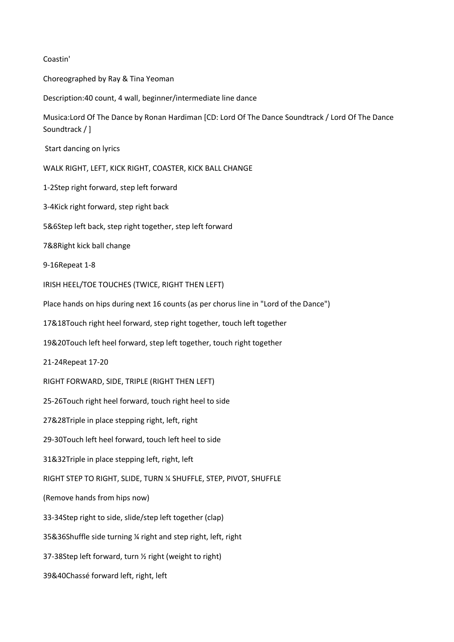Coastin'

Choreographed by Ray & Tina Yeoman

Description:40 count, 4 wall, beginner/intermediate line dance

Musica:Lord Of The Dance by Ronan Hardiman [CD: Lord Of The Dance Soundtrack / Lord Of The Dance Soundtrack / ]

Start dancing on lyrics

WALK RIGHT, LEFT, KICK RIGHT, COASTER, KICK BALL CHANGE

1-2Step right forward, step left forward

3-4Kick right forward, step right back

5&6Step left back, step right together, step left forward

7&8Right kick ball change

9-16Repeat 1-8

IRISH HEEL/TOE TOUCHES (TWICE, RIGHT THEN LEFT)

Place hands on hips during next 16 counts (as per chorus line in "Lord of the Dance")

17&18Touch right heel forward, step right together, touch left together

19&20Touch left heel forward, step left together, touch right together

21-24Repeat 17-20

RIGHT FORWARD, SIDE, TRIPLE (RIGHT THEN LEFT)

25-26Touch right heel forward, touch right heel to side

27&28Triple in place stepping right, left, right

29-30Touch left heel forward, touch left heel to side

31&32Triple in place stepping left, right, left

RIGHT STEP TO RIGHT, SLIDE, TURN ¼ SHUFFLE, STEP, PIVOT, SHUFFLE

(Remove hands from hips now)

33-34Step right to side, slide/step left together (clap)

35&36Shuffle side turning ¼ right and step right, left, right

37-38Step left forward, turn ½ right (weight to right)

39&40Chassé forward left, right, left